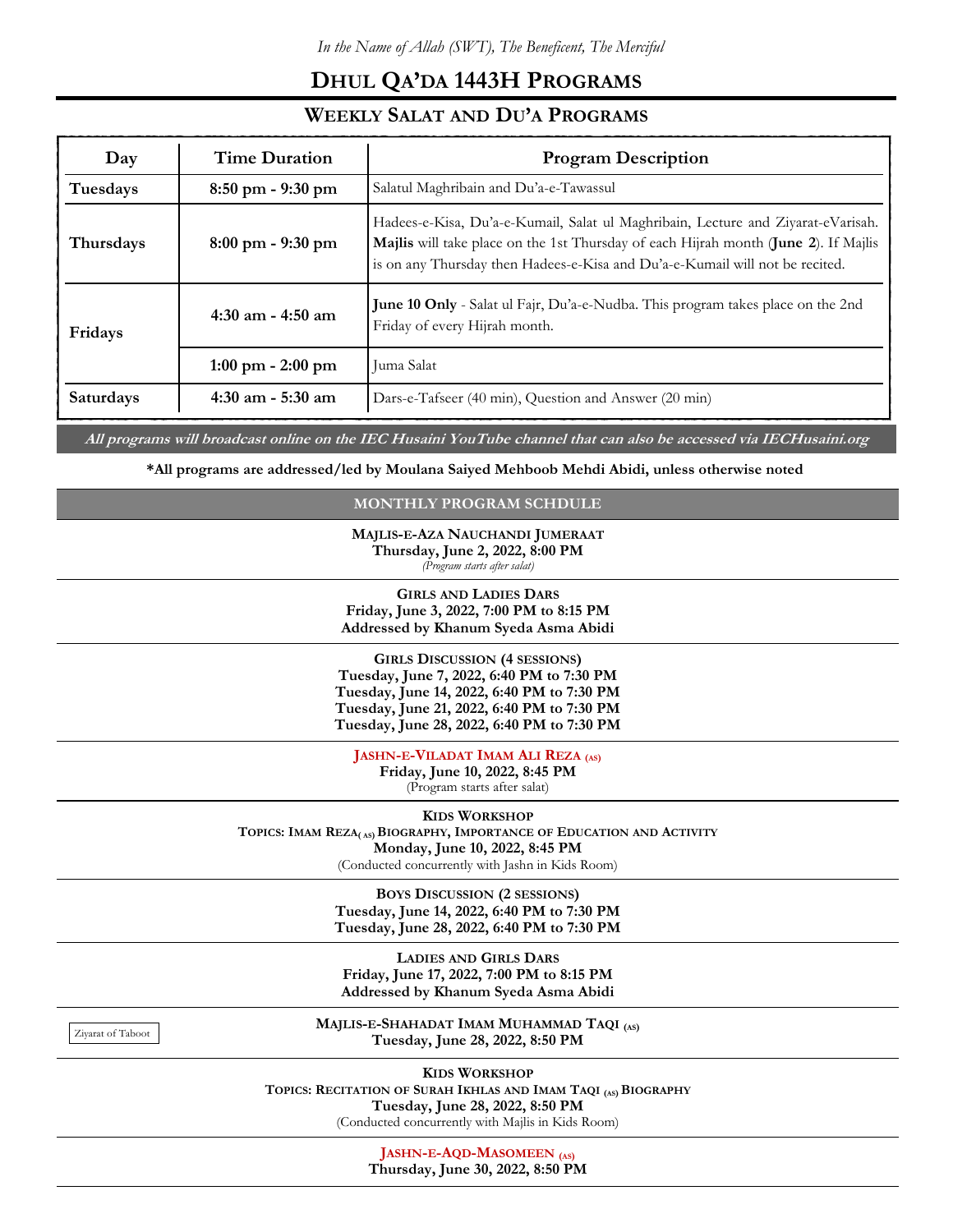## DHUL QA'DA 1443H PROGRAMS

## WEEKLY SALAT AND DU'A PROGRAMS

| Day       | <b>Time Duration</b>                | <b>Program Description</b>                                                                                                                                                                                                                              |
|-----------|-------------------------------------|---------------------------------------------------------------------------------------------------------------------------------------------------------------------------------------------------------------------------------------------------------|
| Tuesdays  | $8:50$ pm - 9:30 pm                 | Salatul Maghribain and Du'a-e-Tawassul                                                                                                                                                                                                                  |
| Thursdays | $8:00 \text{ pm} - 9:30 \text{ pm}$ | Hadees-e-Kisa, Du'a-e-Kumail, Salat ul Maghribain, Lecture and Ziyarat-eVarisah.<br>Majlis will take place on the 1st Thursday of each Hijrah month (June 2). If Majlis<br>is on any Thursday then Hadees-e-Kisa and Du'a-e-Kumail will not be recited. |
| Fridays   | $4:30$ am - $4:50$ am               | June 10 Only - Salat ul Fajr, Du'a-e-Nudba. This program takes place on the 2nd<br>Friday of every Hijrah month.                                                                                                                                        |
|           | $1:00 \text{ pm} - 2:00 \text{ pm}$ | Juma Salat                                                                                                                                                                                                                                              |
| Saturdays | $4:30$ am $-5:30$ am                | Dars-e-Tafseer (40 min), Question and Answer (20 min)                                                                                                                                                                                                   |
|           |                                     |                                                                                                                                                                                                                                                         |

All programs will broadcast online on the IEC Husaini YouTube channel that can also be accessed via IECHusaini.org

\*All programs are addressed/led by Moulana Saiyed Mehboob Mehdi Abidi, unless otherwise noted

## MONTHLY PROGRAM SCHDULE

MAJLIS-E-AZA NAUCHANDI JUMERAAT Thursday, June 2, 2022, 8:00 PM (Program starts after salat)

GIRLS AND LADIES DARS Friday, June 3, 2022, 7:00 PM to 8:15 PM Addressed by Khanum Syeda Asma Abidi

GIRLS DISCUSSION (4 SESSIONS) Tuesday, June 7, 2022, 6:40 PM to 7:30 PM Tuesday, June 14, 2022, 6:40 PM to 7:30 PM Tuesday, June 21, 2022, 6:40 PM to 7:30 PM Tuesday, June 28, 2022, 6:40 PM to 7:30 PM

JASHN-E-VILADAT IMAM ALI REZA (AS)

Friday, June 10, 2022, 8:45 PM (Program starts after salat)

KIDS WORKSHOP

TOPICS: IMAM REZA( AS) BIOGRAPHY, IMPORTANCE OF EDUCATION AND ACTIVITY Monday, June 10, 2022, 8:45 PM

(Conducted concurrently with Jashn in Kids Room)

BOYS DISCUSSION (2 SESSIONS) Tuesday, June 14, 2022, 6:40 PM to 7:30 PM Tuesday, June 28, 2022, 6:40 PM to 7:30 PM

LADIES AND GIRLS DARS Friday, June 17, 2022, 7:00 PM to 8:15 PM Addressed by Khanum Syeda Asma Abidi

Ziyarat of Taboot

MAJLIS-E-SHAHADAT IMAM MUHAMMAD TAQI (AS) Tuesday, June 28, 2022, 8:50 PM

KIDS WORKSHOP TOPICS: RECITATION OF SURAH IKHLAS AND IMAM TAQI (AS) BIOGRAPHY Tuesday, June 28, 2022, 8:50 PM (Conducted concurrently with Majlis in Kids Room)

> JASHN-E-AQD-MASOMEEN (AS) Thursday, June 30, 2022, 8:50 PM